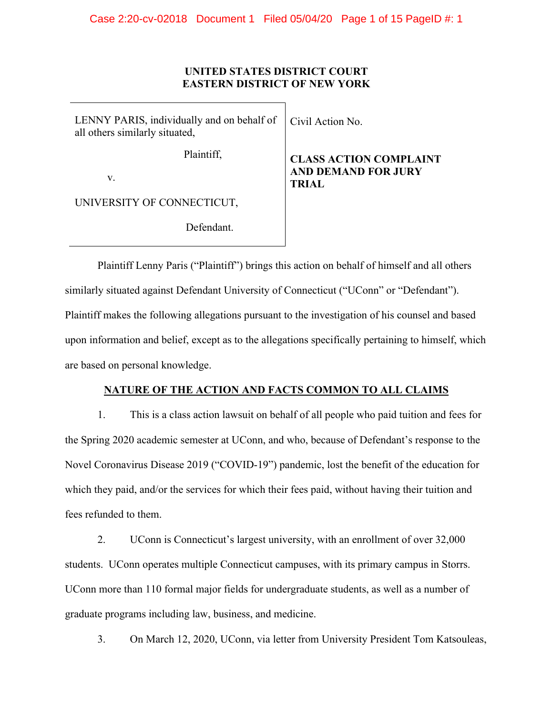# **UNITED STATES DISTRICT COURT EASTERN DISTRICT OF NEW YORK**

| LENNY PARIS, individually and on behalf of<br>all others similarly situated, | Civil Action No.                                                            |
|------------------------------------------------------------------------------|-----------------------------------------------------------------------------|
| Plaintiff,<br>V.                                                             | <b>CLASS ACTION COMPLAINT</b><br><b>AND DEMAND FOR JURY</b><br><b>TRIAL</b> |
| UNIVERSITY OF CONNECTICUT,                                                   |                                                                             |
| Defendant                                                                    |                                                                             |

Plaintiff Lenny Paris ("Plaintiff") brings this action on behalf of himself and all others similarly situated against Defendant University of Connecticut ("UConn" or "Defendant"). Plaintiff makes the following allegations pursuant to the investigation of his counsel and based upon information and belief, except as to the allegations specifically pertaining to himself, which are based on personal knowledge.

# **NATURE OF THE ACTION AND FACTS COMMON TO ALL CLAIMS**

1. This is a class action lawsuit on behalf of all people who paid tuition and fees for the Spring 2020 academic semester at UConn, and who, because of Defendant's response to the Novel Coronavirus Disease 2019 ("COVID-19") pandemic, lost the benefit of the education for which they paid, and/or the services for which their fees paid, without having their tuition and fees refunded to them.

2. UConn is Connecticut's largest university, with an enrollment of over 32,000 students. UConn operates multiple Connecticut campuses, with its primary campus in Storrs. UConn more than 110 formal major fields for undergraduate students, as well as a number of graduate programs including law, business, and medicine.

3. On March 12, 2020, UConn, via letter from University President Tom Katsouleas,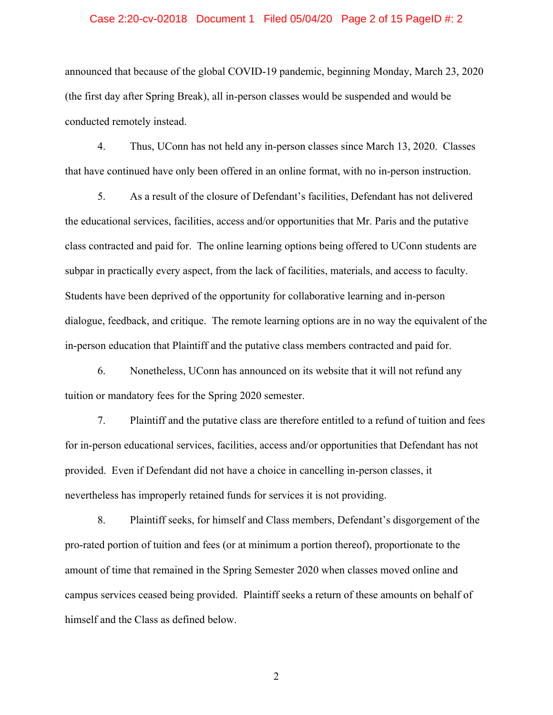#### Case 2:20-cv-02018 Document 1 Filed 05/04/20 Page 2 of 15 PageID #: 2

announced that because of the global COVID-19 pandemic, beginning Monday, March 23, 2020 (the first day after Spring Break), all in-person classes would be suspended and would be conducted remotely instead.

4. Thus, UConn has not held any in-person classes since March 13, 2020. Classes that have continued have only been offered in an online format, with no in-person instruction.

5. As a result of the closure of Defendant's facilities, Defendant has not delivered the educational services, facilities, access and/or opportunities that Mr. Paris and the putative class contracted and paid for. The online learning options being offered to UConn students are subpar in practically every aspect, from the lack of facilities, materials, and access to faculty. Students have been deprived of the opportunity for collaborative learning and in-person dialogue, feedback, and critique. The remote learning options are in no way the equivalent of the in-person education that Plaintiff and the putative class members contracted and paid for.

6. Nonetheless, UConn has announced on its website that it will not refund any tuition or mandatory fees for the Spring 2020 semester.

7. Plaintiff and the putative class are therefore entitled to a refund of tuition and fees for in-person educational services, facilities, access and/or opportunities that Defendant has not provided. Even if Defendant did not have a choice in cancelling in-person classes, it nevertheless has improperly retained funds for services it is not providing.

8. Plaintiff seeks, for himself and Class members, Defendant's disgorgement of the pro-rated portion of tuition and fees (or at minimum a portion thereof), proportionate to the amount of time that remained in the Spring Semester 2020 when classes moved online and campus services ceased being provided. Plaintiff seeks a return of these amounts on behalf of himself and the Class as defined below.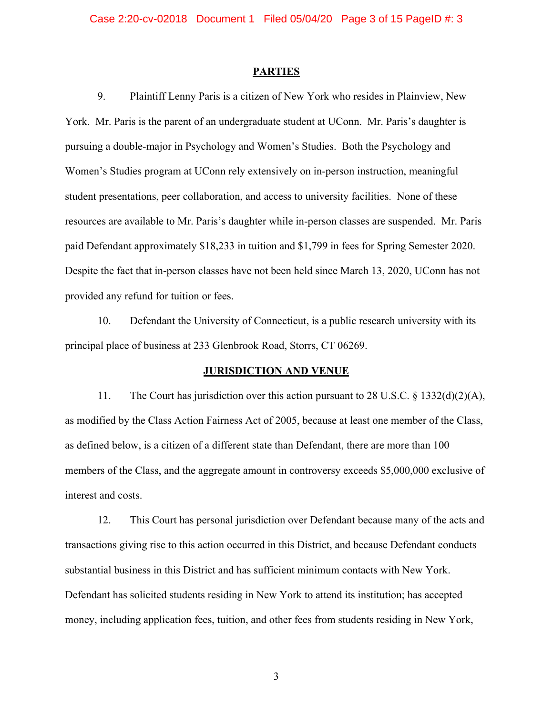#### **PARTIES**

9. Plaintiff Lenny Paris is a citizen of New York who resides in Plainview, New York. Mr. Paris is the parent of an undergraduate student at UConn. Mr. Paris's daughter is pursuing a double-major in Psychology and Women's Studies. Both the Psychology and Women's Studies program at UConn rely extensively on in-person instruction, meaningful student presentations, peer collaboration, and access to university facilities. None of these resources are available to Mr. Paris's daughter while in-person classes are suspended. Mr. Paris paid Defendant approximately \$18,233 in tuition and \$1,799 in fees for Spring Semester 2020. Despite the fact that in-person classes have not been held since March 13, 2020, UConn has not provided any refund for tuition or fees.

10. Defendant the University of Connecticut, is a public research university with its principal place of business at 233 Glenbrook Road, Storrs, CT 06269.

#### **JURISDICTION AND VENUE**

11. The Court has jurisdiction over this action pursuant to 28 U.S.C. § 1332(d)(2)(A), as modified by the Class Action Fairness Act of 2005, because at least one member of the Class, as defined below, is a citizen of a different state than Defendant, there are more than 100 members of the Class, and the aggregate amount in controversy exceeds \$5,000,000 exclusive of interest and costs.

12. This Court has personal jurisdiction over Defendant because many of the acts and transactions giving rise to this action occurred in this District, and because Defendant conducts substantial business in this District and has sufficient minimum contacts with New York. Defendant has solicited students residing in New York to attend its institution; has accepted money, including application fees, tuition, and other fees from students residing in New York,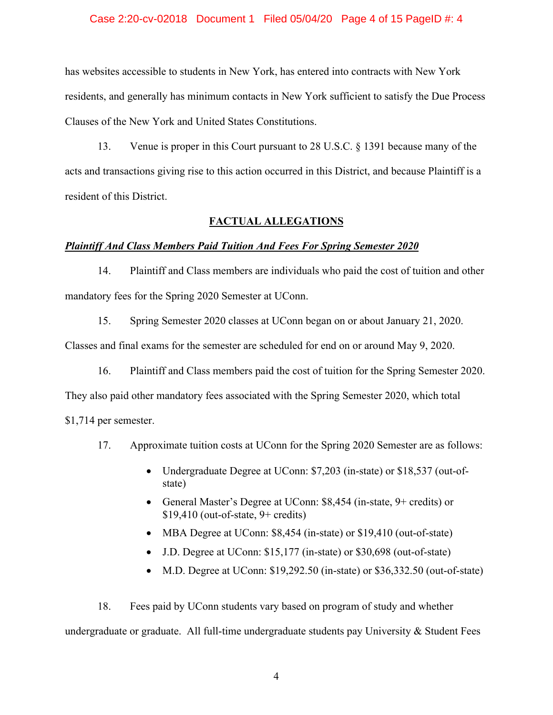# Case 2:20-cv-02018 Document 1 Filed 05/04/20 Page 4 of 15 PageID #: 4

has websites accessible to students in New York, has entered into contracts with New York residents, and generally has minimum contacts in New York sufficient to satisfy the Due Process Clauses of the New York and United States Constitutions.

13. Venue is proper in this Court pursuant to 28 U.S.C. § 1391 because many of the acts and transactions giving rise to this action occurred in this District, and because Plaintiff is a resident of this District.

# **FACTUAL ALLEGATIONS**

#### *Plaintiff And Class Members Paid Tuition And Fees For Spring Semester 2020*

14. Plaintiff and Class members are individuals who paid the cost of tuition and other mandatory fees for the Spring 2020 Semester at UConn.

15. Spring Semester 2020 classes at UConn began on or about January 21, 2020.

Classes and final exams for the semester are scheduled for end on or around May 9, 2020.

16. Plaintiff and Class members paid the cost of tuition for the Spring Semester 2020.

They also paid other mandatory fees associated with the Spring Semester 2020, which total

\$1,714 per semester.

- 17. Approximate tuition costs at UConn for the Spring 2020 Semester are as follows:
	- Undergraduate Degree at UConn: \$7,203 (in-state) or \$18,537 (out-ofstate)
	- General Master's Degree at UConn: \$8,454 (in-state, 9+ credits) or  $$19,410$  (out-of-state,  $9+$  credits)
	- MBA Degree at UConn: \$8,454 (in-state) or \$19,410 (out-of-state)
	- J.D. Degree at UConn: \$15,177 (in-state) or \$30,698 (out-of-state)
	- M.D. Degree at UConn: \$19,292.50 (in-state) or \$36,332.50 (out-of-state)

18. Fees paid by UConn students vary based on program of study and whether undergraduate or graduate. All full-time undergraduate students pay University & Student Fees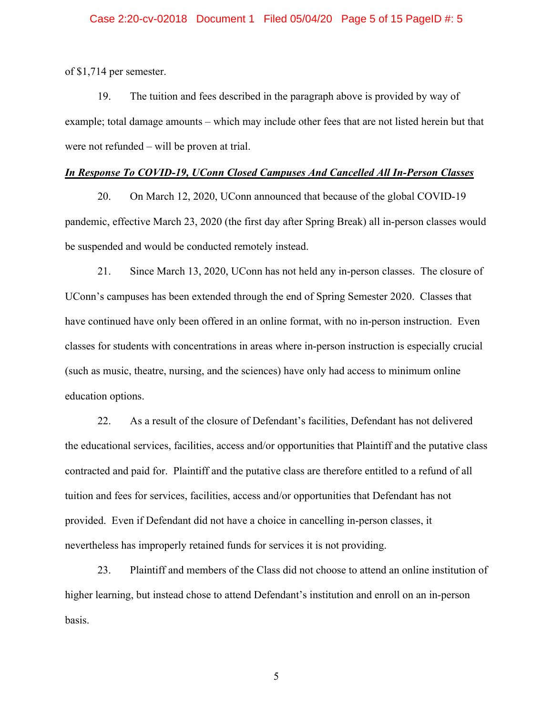of \$1,714 per semester.

19. The tuition and fees described in the paragraph above is provided by way of example; total damage amounts – which may include other fees that are not listed herein but that were not refunded – will be proven at trial.

#### *In Response To COVID-19, UConn Closed Campuses And Cancelled All In-Person Classes*

20. On March 12, 2020, UConn announced that because of the global COVID-19 pandemic, effective March 23, 2020 (the first day after Spring Break) all in-person classes would be suspended and would be conducted remotely instead.

21. Since March 13, 2020, UConn has not held any in-person classes. The closure of UConn's campuses has been extended through the end of Spring Semester 2020. Classes that have continued have only been offered in an online format, with no in-person instruction. Even classes for students with concentrations in areas where in-person instruction is especially crucial (such as music, theatre, nursing, and the sciences) have only had access to minimum online education options.

22. As a result of the closure of Defendant's facilities, Defendant has not delivered the educational services, facilities, access and/or opportunities that Plaintiff and the putative class contracted and paid for. Plaintiff and the putative class are therefore entitled to a refund of all tuition and fees for services, facilities, access and/or opportunities that Defendant has not provided. Even if Defendant did not have a choice in cancelling in-person classes, it nevertheless has improperly retained funds for services it is not providing.

23. Plaintiff and members of the Class did not choose to attend an online institution of higher learning, but instead chose to attend Defendant's institution and enroll on an in-person basis.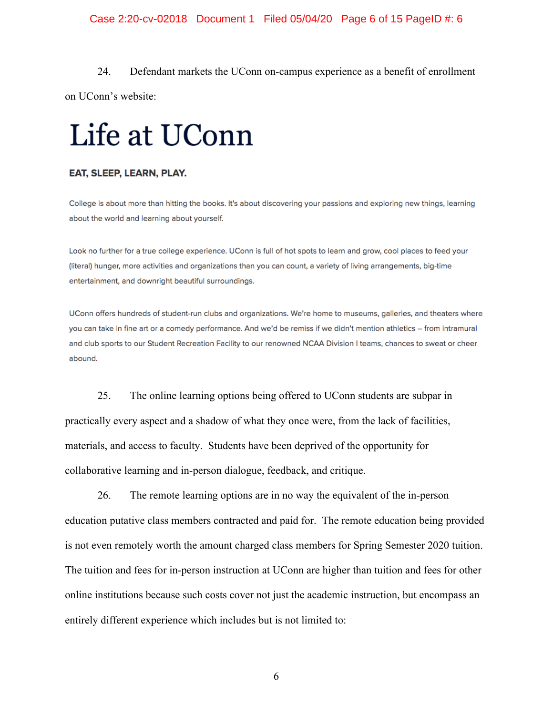# Case 2:20-cv-02018 Document 1 Filed 05/04/20 Page 6 of 15 PageID #: 6

24. Defendant markets the UConn on-campus experience as a benefit of enrollment on UConn's website:

# Life at UConn

#### EAT, SLEEP, LEARN, PLAY.

College is about more than hitting the books. It's about discovering your passions and exploring new things, learning about the world and learning about yourself.

Look no further for a true college experience. UConn is full of hot spots to learn and grow, cool places to feed your (literal) hunger, more activities and organizations than you can count, a variety of living arrangements, big-time entertainment, and downright beautiful surroundings.

UConn offers hundreds of student-run clubs and organizations. We're home to museums, galleries, and theaters where you can take in fine art or a comedy performance. And we'd be remiss if we didn't mention athletics - from intramural and club sports to our Student Recreation Facility to our renowned NCAA Division I teams, chances to sweat or cheer abound.

25. The online learning options being offered to UConn students are subpar in practically every aspect and a shadow of what they once were, from the lack of facilities, materials, and access to faculty. Students have been deprived of the opportunity for collaborative learning and in-person dialogue, feedback, and critique.

26. The remote learning options are in no way the equivalent of the in-person education putative class members contracted and paid for. The remote education being provided is not even remotely worth the amount charged class members for Spring Semester 2020 tuition. The tuition and fees for in-person instruction at UConn are higher than tuition and fees for other online institutions because such costs cover not just the academic instruction, but encompass an entirely different experience which includes but is not limited to: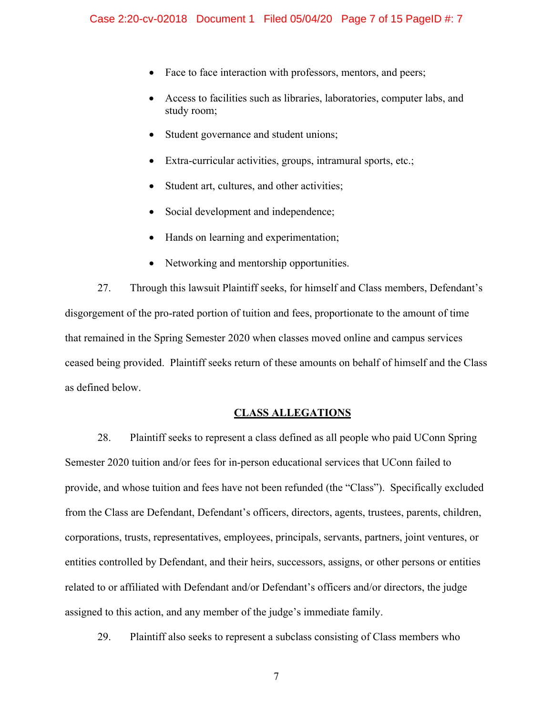- Face to face interaction with professors, mentors, and peers;
- Access to facilities such as libraries, laboratories, computer labs, and study room;
- Student governance and student unions;
- Extra-curricular activities, groups, intramural sports, etc.;
- Student art, cultures, and other activities;
- Social development and independence;
- Hands on learning and experimentation;
- Networking and mentorship opportunities.

27. Through this lawsuit Plaintiff seeks, for himself and Class members, Defendant's disgorgement of the pro-rated portion of tuition and fees, proportionate to the amount of time that remained in the Spring Semester 2020 when classes moved online and campus services ceased being provided. Plaintiff seeks return of these amounts on behalf of himself and the Class as defined below.

# **CLASS ALLEGATIONS**

28. Plaintiff seeks to represent a class defined as all people who paid UConn Spring Semester 2020 tuition and/or fees for in-person educational services that UConn failed to provide, and whose tuition and fees have not been refunded (the "Class"). Specifically excluded from the Class are Defendant, Defendant's officers, directors, agents, trustees, parents, children, corporations, trusts, representatives, employees, principals, servants, partners, joint ventures, or entities controlled by Defendant, and their heirs, successors, assigns, or other persons or entities related to or affiliated with Defendant and/or Defendant's officers and/or directors, the judge assigned to this action, and any member of the judge's immediate family.

29. Plaintiff also seeks to represent a subclass consisting of Class members who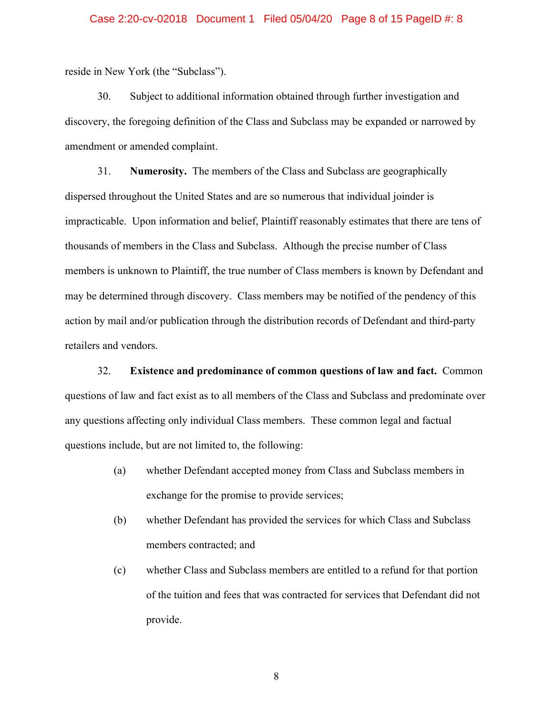#### Case 2:20-cv-02018 Document 1 Filed 05/04/20 Page 8 of 15 PageID #: 8

reside in New York (the "Subclass").

30. Subject to additional information obtained through further investigation and discovery, the foregoing definition of the Class and Subclass may be expanded or narrowed by amendment or amended complaint.

31. **Numerosity.** The members of the Class and Subclass are geographically dispersed throughout the United States and are so numerous that individual joinder is impracticable. Upon information and belief, Plaintiff reasonably estimates that there are tens of thousands of members in the Class and Subclass. Although the precise number of Class members is unknown to Plaintiff, the true number of Class members is known by Defendant and may be determined through discovery. Class members may be notified of the pendency of this action by mail and/or publication through the distribution records of Defendant and third-party retailers and vendors.

32. **Existence and predominance of common questions of law and fact.** Common questions of law and fact exist as to all members of the Class and Subclass and predominate over any questions affecting only individual Class members. These common legal and factual questions include, but are not limited to, the following:

- (a) whether Defendant accepted money from Class and Subclass members in exchange for the promise to provide services;
- (b) whether Defendant has provided the services for which Class and Subclass members contracted; and
- (c) whether Class and Subclass members are entitled to a refund for that portion of the tuition and fees that was contracted for services that Defendant did not provide.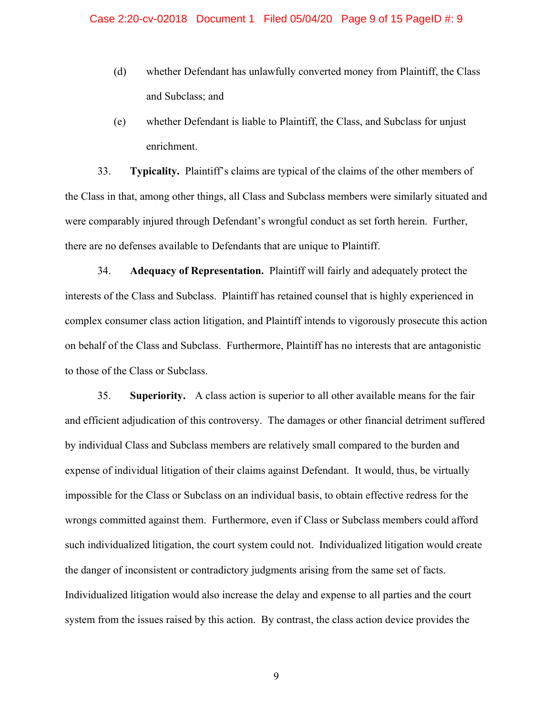- (d) whether Defendant has unlawfully converted money from Plaintiff, the Class and Subclass; and
- (e) whether Defendant is liable to Plaintiff, the Class, and Subclass for unjust enrichment.

33. **Typicality.** Plaintiff's claims are typical of the claims of the other members of the Class in that, among other things, all Class and Subclass members were similarly situated and were comparably injured through Defendant's wrongful conduct as set forth herein. Further, there are no defenses available to Defendants that are unique to Plaintiff.

34. **Adequacy of Representation.** Plaintiff will fairly and adequately protect the interests of the Class and Subclass. Plaintiff has retained counsel that is highly experienced in complex consumer class action litigation, and Plaintiff intends to vigorously prosecute this action on behalf of the Class and Subclass. Furthermore, Plaintiff has no interests that are antagonistic to those of the Class or Subclass.

35. **Superiority.** A class action is superior to all other available means for the fair and efficient adjudication of this controversy. The damages or other financial detriment suffered by individual Class and Subclass members are relatively small compared to the burden and expense of individual litigation of their claims against Defendant. It would, thus, be virtually impossible for the Class or Subclass on an individual basis, to obtain effective redress for the wrongs committed against them. Furthermore, even if Class or Subclass members could afford such individualized litigation, the court system could not. Individualized litigation would create the danger of inconsistent or contradictory judgments arising from the same set of facts. Individualized litigation would also increase the delay and expense to all parties and the court system from the issues raised by this action. By contrast, the class action device provides the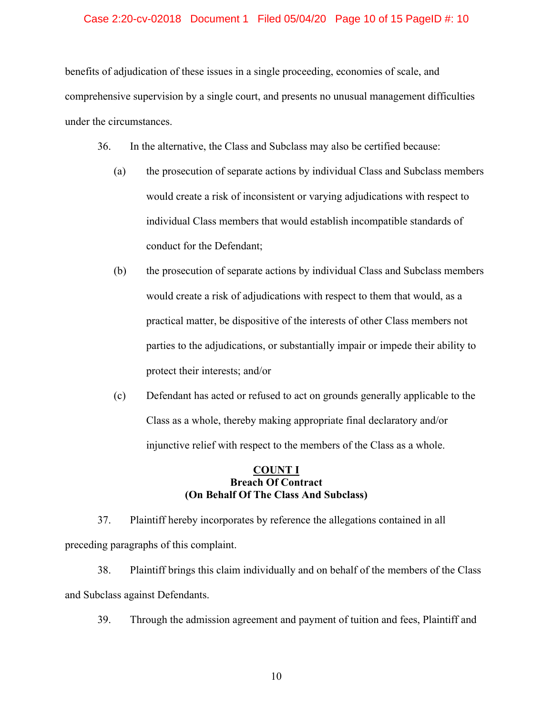# Case 2:20-cv-02018 Document 1 Filed 05/04/20 Page 10 of 15 PageID #: 10

benefits of adjudication of these issues in a single proceeding, economies of scale, and comprehensive supervision by a single court, and presents no unusual management difficulties under the circumstances.

- 36. In the alternative, the Class and Subclass may also be certified because:
	- (a) the prosecution of separate actions by individual Class and Subclass members would create a risk of inconsistent or varying adjudications with respect to individual Class members that would establish incompatible standards of conduct for the Defendant;
	- (b) the prosecution of separate actions by individual Class and Subclass members would create a risk of adjudications with respect to them that would, as a practical matter, be dispositive of the interests of other Class members not parties to the adjudications, or substantially impair or impede their ability to protect their interests; and/or
	- (c) Defendant has acted or refused to act on grounds generally applicable to the Class as a whole, thereby making appropriate final declaratory and/or injunctive relief with respect to the members of the Class as a whole.

# **COUNT I Breach Of Contract (On Behalf Of The Class And Subclass)**

37. Plaintiff hereby incorporates by reference the allegations contained in all preceding paragraphs of this complaint.

38. Plaintiff brings this claim individually and on behalf of the members of the Class and Subclass against Defendants.

39. Through the admission agreement and payment of tuition and fees, Plaintiff and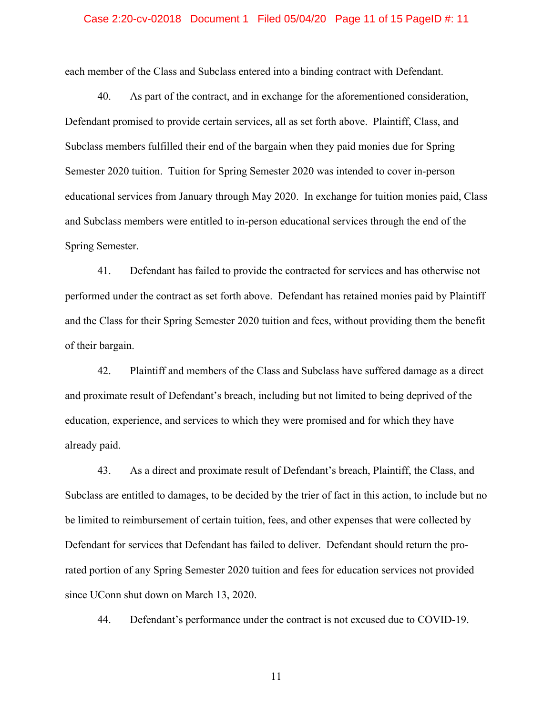#### Case 2:20-cv-02018 Document 1 Filed 05/04/20 Page 11 of 15 PageID #: 11

each member of the Class and Subclass entered into a binding contract with Defendant.

40. As part of the contract, and in exchange for the aforementioned consideration, Defendant promised to provide certain services, all as set forth above. Plaintiff, Class, and Subclass members fulfilled their end of the bargain when they paid monies due for Spring Semester 2020 tuition. Tuition for Spring Semester 2020 was intended to cover in-person educational services from January through May 2020. In exchange for tuition monies paid, Class and Subclass members were entitled to in-person educational services through the end of the Spring Semester.

41. Defendant has failed to provide the contracted for services and has otherwise not performed under the contract as set forth above. Defendant has retained monies paid by Plaintiff and the Class for their Spring Semester 2020 tuition and fees, without providing them the benefit of their bargain.

42. Plaintiff and members of the Class and Subclass have suffered damage as a direct and proximate result of Defendant's breach, including but not limited to being deprived of the education, experience, and services to which they were promised and for which they have already paid.

43. As a direct and proximate result of Defendant's breach, Plaintiff, the Class, and Subclass are entitled to damages, to be decided by the trier of fact in this action, to include but no be limited to reimbursement of certain tuition, fees, and other expenses that were collected by Defendant for services that Defendant has failed to deliver. Defendant should return the prorated portion of any Spring Semester 2020 tuition and fees for education services not provided since UConn shut down on March 13, 2020.

44. Defendant's performance under the contract is not excused due to COVID-19.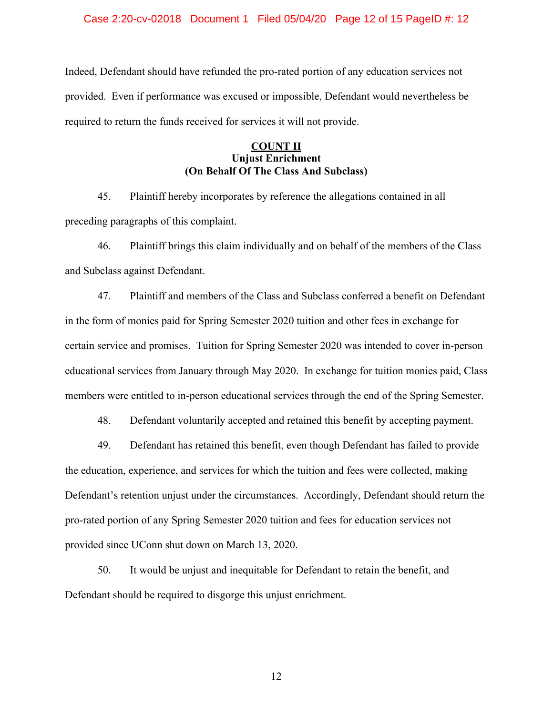Case 2:20-cv-02018 Document 1 Filed 05/04/20 Page 12 of 15 PageID #: 12

Indeed, Defendant should have refunded the pro-rated portion of any education services not provided. Even if performance was excused or impossible, Defendant would nevertheless be required to return the funds received for services it will not provide.

# **COUNT II Unjust Enrichment (On Behalf Of The Class And Subclass)**

45. Plaintiff hereby incorporates by reference the allegations contained in all preceding paragraphs of this complaint.

46. Plaintiff brings this claim individually and on behalf of the members of the Class and Subclass against Defendant.

47. Plaintiff and members of the Class and Subclass conferred a benefit on Defendant in the form of monies paid for Spring Semester 2020 tuition and other fees in exchange for certain service and promises. Tuition for Spring Semester 2020 was intended to cover in-person educational services from January through May 2020. In exchange for tuition monies paid, Class members were entitled to in-person educational services through the end of the Spring Semester.

48. Defendant voluntarily accepted and retained this benefit by accepting payment.

49. Defendant has retained this benefit, even though Defendant has failed to provide the education, experience, and services for which the tuition and fees were collected, making Defendant's retention unjust under the circumstances. Accordingly, Defendant should return the pro-rated portion of any Spring Semester 2020 tuition and fees for education services not provided since UConn shut down on March 13, 2020.

50. It would be unjust and inequitable for Defendant to retain the benefit, and Defendant should be required to disgorge this unjust enrichment.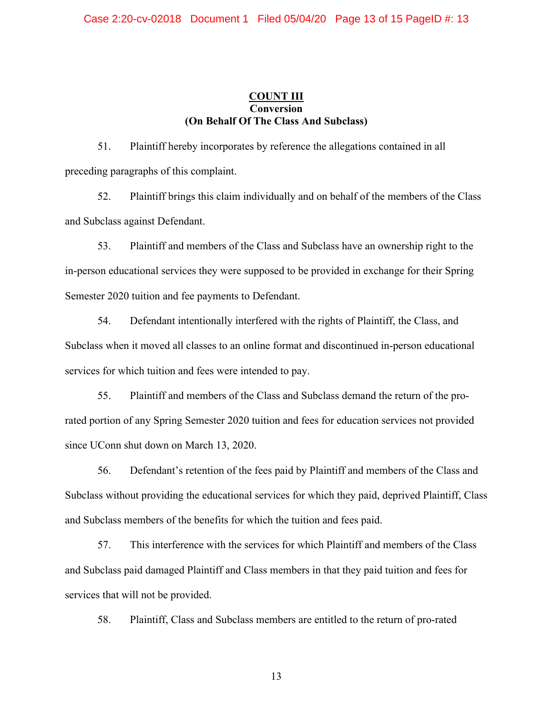# **COUNT III Conversion (On Behalf Of The Class And Subclass)**

51. Plaintiff hereby incorporates by reference the allegations contained in all preceding paragraphs of this complaint.

52. Plaintiff brings this claim individually and on behalf of the members of the Class and Subclass against Defendant.

53. Plaintiff and members of the Class and Subclass have an ownership right to the in-person educational services they were supposed to be provided in exchange for their Spring Semester 2020 tuition and fee payments to Defendant.

54. Defendant intentionally interfered with the rights of Plaintiff, the Class, and Subclass when it moved all classes to an online format and discontinued in-person educational services for which tuition and fees were intended to pay.

55. Plaintiff and members of the Class and Subclass demand the return of the prorated portion of any Spring Semester 2020 tuition and fees for education services not provided since UConn shut down on March 13, 2020.

56. Defendant's retention of the fees paid by Plaintiff and members of the Class and Subclass without providing the educational services for which they paid, deprived Plaintiff, Class and Subclass members of the benefits for which the tuition and fees paid.

57. This interference with the services for which Plaintiff and members of the Class and Subclass paid damaged Plaintiff and Class members in that they paid tuition and fees for services that will not be provided.

58. Plaintiff, Class and Subclass members are entitled to the return of pro-rated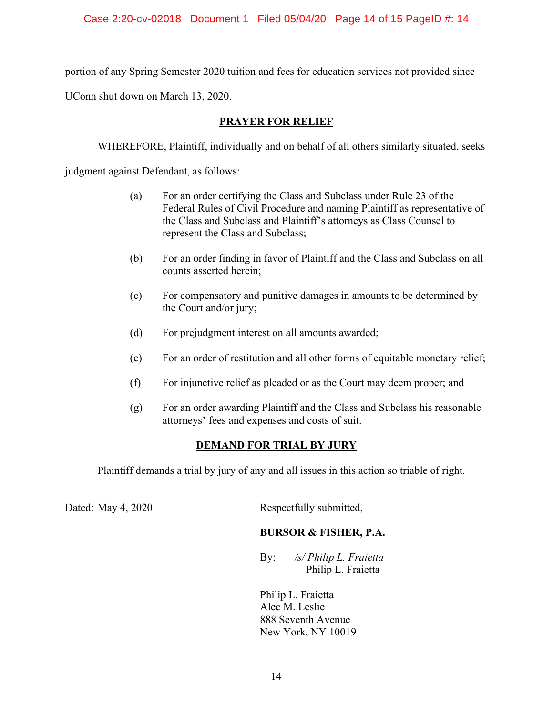portion of any Spring Semester 2020 tuition and fees for education services not provided since

UConn shut down on March 13, 2020.

# **PRAYER FOR RELIEF**

WHEREFORE, Plaintiff, individually and on behalf of all others similarly situated, seeks

judgment against Defendant, as follows:

- (a) For an order certifying the Class and Subclass under Rule 23 of the Federal Rules of Civil Procedure and naming Plaintiff as representative of the Class and Subclass and Plaintiff's attorneys as Class Counsel to represent the Class and Subclass;
- (b) For an order finding in favor of Plaintiff and the Class and Subclass on all counts asserted herein;
- (c) For compensatory and punitive damages in amounts to be determined by the Court and/or jury;
- (d) For prejudgment interest on all amounts awarded;
- (e) For an order of restitution and all other forms of equitable monetary relief;
- (f) For injunctive relief as pleaded or as the Court may deem proper; and
- (g) For an order awarding Plaintiff and the Class and Subclass his reasonable attorneys' fees and expenses and costs of suit.

# **DEMAND FOR TRIAL BY JURY**

Plaintiff demands a trial by jury of any and all issues in this action so triable of right.

Dated: May 4, 2020 Respectfully submitted,

# **BURSOR & FISHER, P.A.**

By: */s/ Philip L. Fraietta* Philip L. Fraietta

Philip L. Fraietta Alec M. Leslie 888 Seventh Avenue New York, NY 10019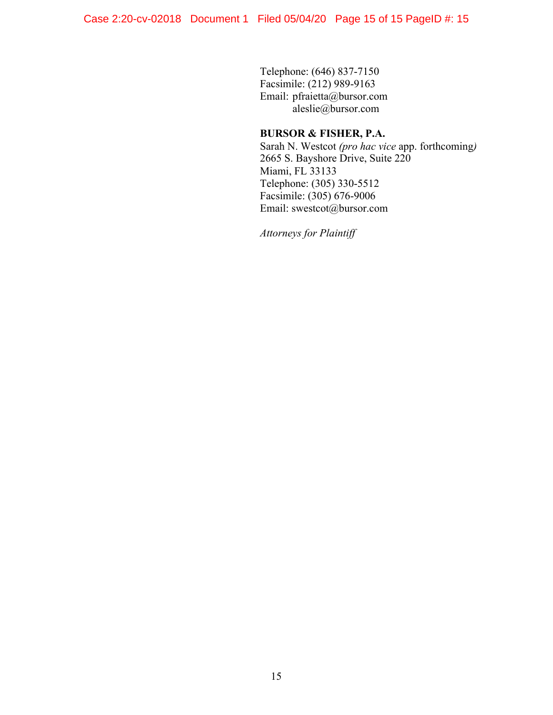Telephone: (646) 837-7150 Facsimile: (212) 989-9163 Email: pfraietta@bursor.com aleslie@bursor.com

# **BURSOR & FISHER, P.A.**

Sarah N. Westcot *(pro hac vice* app. forthcoming*)* 2665 S. Bayshore Drive, Suite 220 Miami, FL 33133 Telephone: (305) 330-5512 Facsimile: (305) 676-9006 Email: swestcot@bursor.com

*Attorneys for Plaintiff*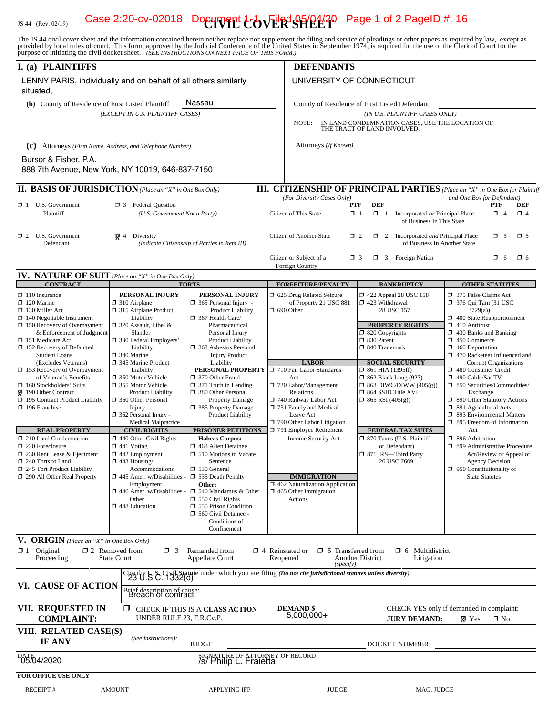#### JS 44 (Rev. 02/19) **Case 2:20-cv-02018 Document**  $c$  **ov**  $\vec{R}$  $\vec{R}$  $\vec{R}$  $\vec{R}$  $\vec{R}$  $\vec{R}$  $\vec{r}$  $\vec{r}$  $\vec{r}$  $\vec{r}$  $\vec{r}$  **age 1 of 2 PageID #: 16**

The JS 44 civil cover sheet and the information contained herein neither replace nor supplement the filing and service of pleadings or other papers as required by law, except as provided by local rules of court. This form,

| I. (a) PLAINTIFFS                                                                                                                                                                      |                                                                                                                                                                                                                                    |                                                                                                                                                                                                                    | <b>DEFENDANTS</b>                                                                                                                                                                                  |                                                                                                                                                                           |                                                                                                                                                                                                                                                 |  |
|----------------------------------------------------------------------------------------------------------------------------------------------------------------------------------------|------------------------------------------------------------------------------------------------------------------------------------------------------------------------------------------------------------------------------------|--------------------------------------------------------------------------------------------------------------------------------------------------------------------------------------------------------------------|----------------------------------------------------------------------------------------------------------------------------------------------------------------------------------------------------|---------------------------------------------------------------------------------------------------------------------------------------------------------------------------|-------------------------------------------------------------------------------------------------------------------------------------------------------------------------------------------------------------------------------------------------|--|
| LENNY PARIS, individually and on behalf of all others similarly<br>situated,                                                                                                           |                                                                                                                                                                                                                                    |                                                                                                                                                                                                                    | UNIVERSITY OF CONNECTICUT                                                                                                                                                                          |                                                                                                                                                                           |                                                                                                                                                                                                                                                 |  |
| (b) County of Residence of First Listed Plaintiff                                                                                                                                      | (EXCEPT IN U.S. PLAINTIFF CASES)                                                                                                                                                                                                   | Nassau                                                                                                                                                                                                             | County of Residence of First Listed Defendant<br>(IN U.S. PLAINTIFF CASES ONLY)<br>NOTE:<br>IN LAND CONDEMNATION CASES, USE THE LOCATION OF<br>THE TRACT OF LAND INVOLVED.<br>Attorneys (If Known) |                                                                                                                                                                           |                                                                                                                                                                                                                                                 |  |
| (C) Attorneys (Firm Name, Address, and Telephone Number)                                                                                                                               |                                                                                                                                                                                                                                    |                                                                                                                                                                                                                    |                                                                                                                                                                                                    |                                                                                                                                                                           |                                                                                                                                                                                                                                                 |  |
| Bursor & Fisher, P.A.                                                                                                                                                                  |                                                                                                                                                                                                                                    |                                                                                                                                                                                                                    |                                                                                                                                                                                                    |                                                                                                                                                                           |                                                                                                                                                                                                                                                 |  |
| 888 7th Avenue, New York, NY 10019, 646-837-7150                                                                                                                                       |                                                                                                                                                                                                                                    |                                                                                                                                                                                                                    |                                                                                                                                                                                                    |                                                                                                                                                                           |                                                                                                                                                                                                                                                 |  |
| <b>II. BASIS OF JURISDICTION</b> (Place an "X" in One Box Only)                                                                                                                        |                                                                                                                                                                                                                                    |                                                                                                                                                                                                                    |                                                                                                                                                                                                    |                                                                                                                                                                           | <b>III. CITIZENSHIP OF PRINCIPAL PARTIES</b> (Place an "X" in One Box for Plaintiff                                                                                                                                                             |  |
| $\Box$ 1 U.S. Government<br>Plaintiff                                                                                                                                                  | <b>1</b> 3 Federal Question<br>(U.S. Government Not a Party)                                                                                                                                                                       |                                                                                                                                                                                                                    | (For Diversity Cases Only)<br><b>PTF</b><br>่ ิ่ 1<br>Citizen of This State                                                                                                                        | <b>DEF</b><br>$\Box$ 1<br>Incorporated or Principal Place<br>of Business In This State                                                                                    | and One Box for Defendant)<br><b>PTF</b><br>DEF<br>$\Box$ 4<br>$\Box$ 4                                                                                                                                                                         |  |
| ≹ 4<br>$\Box$ 2 U.S. Government<br>Diversity<br>Defendant<br>(Indicate Citizenship of Parties in Item III)                                                                             |                                                                                                                                                                                                                                    |                                                                                                                                                                                                                    | $\mathbf{\mathsf{x}}_5$<br>Citizen of Another State<br>$\Box$ 2<br>$\Box$ 2<br>Incorporated and Principal Place<br>$\Box$ 5<br>of Business In Another State                                        |                                                                                                                                                                           |                                                                                                                                                                                                                                                 |  |
|                                                                                                                                                                                        |                                                                                                                                                                                                                                    |                                                                                                                                                                                                                    | Citizen or Subject of a<br>$\Box$ 3<br>Foreign Country                                                                                                                                             | $\Box$ 3 Foreign Nation                                                                                                                                                   | $\Box$ 6<br>O 6                                                                                                                                                                                                                                 |  |
| <b>IV. NATURE OF SUIT</b> (Place an "X" in One Box Only)                                                                                                                               |                                                                                                                                                                                                                                    |                                                                                                                                                                                                                    |                                                                                                                                                                                                    |                                                                                                                                                                           |                                                                                                                                                                                                                                                 |  |
| <b>CONTRACT</b><br>$\Box$ 110 Insurance                                                                                                                                                | PERSONAL INJURY                                                                                                                                                                                                                    | <b>TORTS</b><br>PERSONAL INJURY                                                                                                                                                                                    | <b>FORFEITURE/PENALTY</b><br>5 625 Drug Related Seizure                                                                                                                                            | <b>BANKRUPTCY</b><br>1422 Appeal 28 USC 158                                                                                                                               | <b>OTHER STATUTES</b><br>□ 375 False Claims Act                                                                                                                                                                                                 |  |
| $\Box$ 120 Marine<br>$\Box$ 130 Miller Act<br>$\Box$ 140 Negotiable Instrument<br>$\Box$ 150 Recovery of Overpayment<br>& Enforcement of Judgment<br>□ 151 Medicare Act                | $\Box$ 310 Airplane<br>□ 315 Airplane Product<br>Liability<br>$\Box$ 320 Assault, Libel &<br>Slander<br>□ 330 Federal Employers'                                                                                                   | $\Box$ 365 Personal Injury -<br><b>Product Liability</b><br>367 Health Care/<br>Pharmaceutical<br>Personal Injury<br><b>Product Liability</b>                                                                      | of Property 21 USC 881<br>$\Box$ 690 Other                                                                                                                                                         | 423 Withdrawal<br>28 USC 157<br><b>PROPERTY RIGHTS</b><br>□ 820 Copyrights<br>□ 830 Patent                                                                                | 7 376 Qui Tam (31 USC<br>3729(a)<br>400 State Reapportionment<br>$\Box$ 410 Antitrust<br>1 430 Banks and Banking<br>$\Box$ 450 Commerce                                                                                                         |  |
| 152 Recovery of Defaulted<br><b>Student Loans</b>                                                                                                                                      | Liability<br>$\Box$ 340 Marine                                                                                                                                                                                                     | 368 Asbestos Personal<br><b>Injury Product</b>                                                                                                                                                                     |                                                                                                                                                                                                    | □ 840 Trademark                                                                                                                                                           | $\Box$ 460 Deportation<br>□ 470 Racketeer Influenced and                                                                                                                                                                                        |  |
| (Excludes Veterans)<br>$\Box$ 153 Recovery of Overpayment<br>of Veteran's Benefits<br>160 Stockholders' Suits<br>190 Other Contract<br>195 Contract Product Liability<br>196 Franchise | 345 Marine Product<br>Liability<br>□ 350 Motor Vehicle<br>□ 355 Motor Vehicle<br><b>Product Liability</b><br>360 Other Personal<br>Injury<br>$\Box$ 362 Personal Injury -<br><b>Medical Malpractice</b>                            | Liability<br>PERSONAL PROPERTY<br>370 Other Fraud<br>$\Box$ 371 Truth in Lending<br>380 Other Personal<br>Property Damage<br>□ 385 Property Damage<br><b>Product Liability</b>                                     | <b>LABOR</b><br>710 Fair Labor Standards<br>Act<br>720 Labor/Management<br>Relations<br>740 Railway Labor Act<br>751 Family and Medical<br>Leave Act<br>790 Other Labor Litigation                 | <b>SOCIAL SECURITY</b><br>$\Box$ 861 HIA (1395ff)<br>$\Box$ 862 Black Lung (923)<br>$\Box$ 863 DIWC/DIWW (405(g))<br>$\Box$ 864 SSID Title XVI<br>$\Box$ 865 RSI (405(g)) | Corrupt Organizations<br>480 Consumer Credit<br>□ 490 Cable/Sat TV<br>□ 850 Securities/Commodities/<br>Exchange<br>□ 890 Other Statutory Actions<br>□ 891 Agricultural Acts<br>□ 893 Environmental Matters<br>$\Box$ 895 Freedom of Information |  |
| <b>REAL PROPERTY</b>                                                                                                                                                                   | <b>CIVIL RIGHTS</b>                                                                                                                                                                                                                | PRISONER PETITIONS                                                                                                                                                                                                 | 791 Employee Retirement                                                                                                                                                                            | <b>FEDERAL TAX SUITS</b>                                                                                                                                                  | Act                                                                                                                                                                                                                                             |  |
| $\Box$ 210 Land Condemnation<br>220 Foreclosure<br>$\Box$ 230 Rent Lease & Ejectment<br>240 Torts to Land<br>245 Tort Product Liability<br>290 All Other Real Property                 | $\Box$ 440 Other Civil Rights<br>$\Box$ 441 Voting<br>$\Box$ 442 Employment<br>$\Box$ 443 Housing/<br>Accommodations<br>$\Box$ 445 Amer. w/Disabilities<br>Employment<br>$\Box$ 446 Amer. w/Disabilities<br>Other<br>448 Education | <b>Habeas Corpus:</b><br>463 Alien Detainee<br>□ 510 Motions to Vacate<br>Sentence<br>530 General<br>535 Death Penalty<br>Other:<br>$\Box$ 540 Mandamus & Other<br>$\Box$ 550 Civil Rights<br>555 Prison Condition | Income Security Act<br><b>IMMIGRATION</b><br>$\Box$ 462 Naturalization Application<br>$\Box$ 465 Other Immigration<br>Actions                                                                      | □ 870 Taxes (U.S. Plaintiff<br>or Defendant)<br>□ 871 IRS-Third Party<br>26 USC 7609                                                                                      | □ 896 Arbitration<br>□ 899 Administrative Procedure<br>Act/Review or Appeal of<br><b>Agency Decision</b><br>$\Box$ 950 Constitutionality of<br><b>State Statutes</b>                                                                            |  |
|                                                                                                                                                                                        |                                                                                                                                                                                                                                    | 560 Civil Detainee -<br>Conditions of<br>Confinement                                                                                                                                                               |                                                                                                                                                                                                    |                                                                                                                                                                           |                                                                                                                                                                                                                                                 |  |
| V. ORIGIN (Place an "X" in One Box Only)                                                                                                                                               |                                                                                                                                                                                                                                    |                                                                                                                                                                                                                    |                                                                                                                                                                                                    |                                                                                                                                                                           |                                                                                                                                                                                                                                                 |  |
| $\mathbf{X}_1$ Original<br>Proceeding                                                                                                                                                  | $\square$ 2 Removed from<br>$\Box$ 3<br><b>State Court</b>                                                                                                                                                                         | Remanded from<br><b>Appellate Court</b>                                                                                                                                                                            | $\Box$ 5 Transferred from<br>$\Box$ 4 Reinstated or<br>Reopened<br>(specify)                                                                                                                       | $\Box$ 6 Multidistrict<br>Another District<br>Litigation                                                                                                                  |                                                                                                                                                                                                                                                 |  |
| VI. CAUSE OF ACTION                                                                                                                                                                    | Brief description of cause:<br>Breach of contract.                                                                                                                                                                                 |                                                                                                                                                                                                                    | Cite the U.S. Civil Statute under which you are filing <i>(Do not cite jurisdictional statutes unless diversity)</i> :<br>23 U.S.C. 1332(0)                                                        |                                                                                                                                                                           |                                                                                                                                                                                                                                                 |  |
| VII. REQUESTED IN<br><b>COMPLAINT:</b>                                                                                                                                                 | 图<br>UNDER RULE 23, F.R.Cv.P.                                                                                                                                                                                                      | CHECK IF THIS IS A CLASS ACTION                                                                                                                                                                                    | <b>DEMAND \$</b><br>$5,000,000+$                                                                                                                                                                   | <b>JURY DEMAND:</b>                                                                                                                                                       | CHECK YES only if demanded in complaint:<br>× Yes<br>$\square$ No                                                                                                                                                                               |  |
| VIII. RELATED CASE(S)<br><b>IF ANY</b>                                                                                                                                                 | (See instructions):                                                                                                                                                                                                                | <b>JUDGE</b>                                                                                                                                                                                                       |                                                                                                                                                                                                    | <b>DOCKET NUMBER</b>                                                                                                                                                      |                                                                                                                                                                                                                                                 |  |
| DATE 4/2020                                                                                                                                                                            |                                                                                                                                                                                                                                    | SIGNATURE OF ATTORNEY OF RECORD<br>/s/ Philip L. Fraietta                                                                                                                                                          |                                                                                                                                                                                                    |                                                                                                                                                                           |                                                                                                                                                                                                                                                 |  |
| <b>FOR OFFICE USE ONLY</b>                                                                                                                                                             |                                                                                                                                                                                                                                    |                                                                                                                                                                                                                    |                                                                                                                                                                                                    |                                                                                                                                                                           |                                                                                                                                                                                                                                                 |  |
| <b>RECEIPT#</b>                                                                                                                                                                        | <b>AMOUNT</b>                                                                                                                                                                                                                      | <b>APPLYING IFP</b>                                                                                                                                                                                                | <b>JUDGE</b>                                                                                                                                                                                       | MAG. JUDGE                                                                                                                                                                |                                                                                                                                                                                                                                                 |  |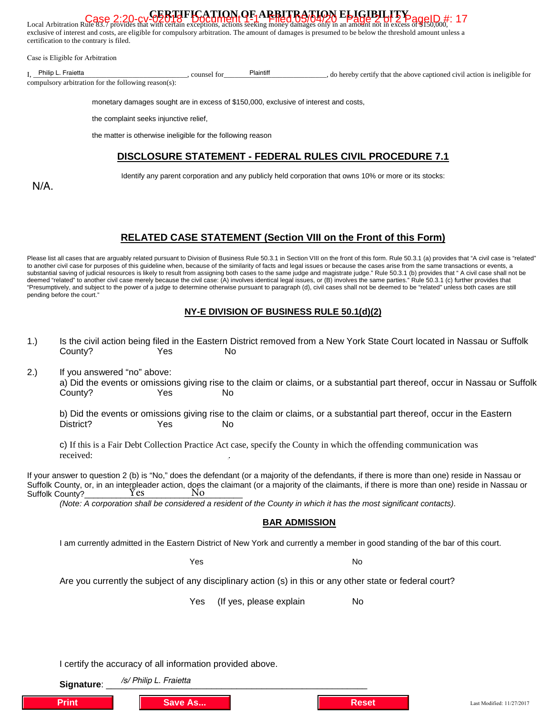| certification to the contrary is filed. | Local Arbitration Rule 83.7 provides that with every exercise the excess of the Case 2:20-CV GERTIFICATION OF ARBITRATION ELIGIBILITY aggelD #: 17<br>exclusive of interest and costs, are eligible for compulsory arbitration. The amount of damages is presumed to be below the threshold amount unless a |                                                                           |  |  |  |  |
|-----------------------------------------|-------------------------------------------------------------------------------------------------------------------------------------------------------------------------------------------------------------------------------------------------------------------------------------------------------------|---------------------------------------------------------------------------|--|--|--|--|
| Case is Eligible for Arbitration        |                                                                                                                                                                                                                                                                                                             |                                                                           |  |  |  |  |
| I Philip L. Fraietta                    | Plaintiff<br>counsel for<br>compulsory arbitration for the following reason(s):                                                                                                                                                                                                                             | do hereby certify that the above captioned civil action is ineligible for |  |  |  |  |
|                                         | monetary damages sought are in excess of \$150,000, exclusive of interest and costs,<br>the complaint seeks injunctive relief.                                                                                                                                                                              |                                                                           |  |  |  |  |
|                                         | the matter is otherwise ineligible for the following reason                                                                                                                                                                                                                                                 |                                                                           |  |  |  |  |
|                                         | <b>DISCLOSURE STATEMENT - FEDERAL RULES CIVIL PROCEDURE 7.1</b>                                                                                                                                                                                                                                             |                                                                           |  |  |  |  |
| $N/A$ .                                 | Identify any parent corporation and any publicly held corporation that owns 10% or more or its stocks:                                                                                                                                                                                                      |                                                                           |  |  |  |  |

# **RELATED CASE STATEMENT (Section VIII on the Front of this Form)**

Please list all cases that are arguably related pursuant to Division of Business Rule 50.3.1 in Section VIII on the front of this form. Rule 50.3.1 (a) provides that "A civil case is "related" to another civil case for purposes of this guideline when, because of the similarity of facts and legal issues or because the cases arise from the same transactions or events, a substantial saving of judicial resources is likely to result from assigning both cases to the same judge and magistrate judge." Rule 50.3.1 (b) provides that " A civil case shall not be deemed "related" to another civil case merely because the civil case: (A) involves identical legal issues, or (B) involves the same parties." Rule 50.3.1 (c) further provides that "Presumptively, and subject to the power of a judge to determine otherwise pursuant to paragraph (d), civil cases shall not be deemed to be "related" unless both cases are still pending before the court."

#### **NY-E DIVISION OF BUSINESS RULE 50.1(d)(2)**

| 1.)                                                                                                                                                                                                                                                                                                                                                                                                                                                           | County?                                                                                                                       | Yes                  |         | No                                                                                                                  |   |              | Is the civil action being filed in the Eastern District removed from a New York State Court located in Nassau or Suffolk     |
|---------------------------------------------------------------------------------------------------------------------------------------------------------------------------------------------------------------------------------------------------------------------------------------------------------------------------------------------------------------------------------------------------------------------------------------------------------------|-------------------------------------------------------------------------------------------------------------------------------|----------------------|---------|---------------------------------------------------------------------------------------------------------------------|---|--------------|------------------------------------------------------------------------------------------------------------------------------|
| 2.)                                                                                                                                                                                                                                                                                                                                                                                                                                                           | If you answered "no" above:<br>County?                                                                                        | Yes<br>V             |         | No                                                                                                                  |   |              | a) Did the events or omissions giving rise to the claim or claims, or a substantial part thereof, occur in Nassau or Suffolk |
|                                                                                                                                                                                                                                                                                                                                                                                                                                                               | District?                                                                                                                     | Z<br>Yes             |         | No                                                                                                                  |   |              | b) Did the events or omissions giving rise to the claim or claims, or a substantial part thereof, occur in the Eastern       |
|                                                                                                                                                                                                                                                                                                                                                                                                                                                               | received:                                                                                                                     |                      |         | c) If this is a Fair Debt Collection Practice Act case, specify the County in which the offending communication was |   |              |                                                                                                                              |
| If your answer to question 2 (b) is "No," does the defendant (or a majority of the defendants, if there is more than one) reside in Nassau or<br>Suffolk County, or, in an interpleader action, does the claimant (or a majority of the claimants, if there is more than one) reside in Nassau or<br><b>Yes</b><br>No<br>Suffolk County?<br>(Note: A corporation shall be considered a resident of the County in which it has the most significant contacts). |                                                                                                                               |                      |         |                                                                                                                     |   |              |                                                                                                                              |
|                                                                                                                                                                                                                                                                                                                                                                                                                                                               | <b>BAR ADMISSION</b>                                                                                                          |                      |         |                                                                                                                     |   |              |                                                                                                                              |
|                                                                                                                                                                                                                                                                                                                                                                                                                                                               | I am currently admitted in the Eastern District of New York and currently a member in good standing of the bar of this court. |                      |         |                                                                                                                     |   |              |                                                                                                                              |
|                                                                                                                                                                                                                                                                                                                                                                                                                                                               |                                                                                                                               | $\blacktriangledown$ | Yes     |                                                                                                                     |   | No           |                                                                                                                              |
|                                                                                                                                                                                                                                                                                                                                                                                                                                                               | Are you currently the subject of any disciplinary action (s) in this or any other state or federal court?                     |                      |         |                                                                                                                     |   |              |                                                                                                                              |
|                                                                                                                                                                                                                                                                                                                                                                                                                                                               |                                                                                                                               | $\mathbb{R}^n$       | Yes     | (If yes, please explain                                                                                             | ☑ | No           |                                                                                                                              |
|                                                                                                                                                                                                                                                                                                                                                                                                                                                               |                                                                                                                               |                      |         |                                                                                                                     |   |              |                                                                                                                              |
| I certify the accuracy of all information provided above.                                                                                                                                                                                                                                                                                                                                                                                                     |                                                                                                                               |                      |         |                                                                                                                     |   |              |                                                                                                                              |
|                                                                                                                                                                                                                                                                                                                                                                                                                                                               | /s/ Philip L. Fraietta<br>Signature:                                                                                          |                      |         |                                                                                                                     |   |              |                                                                                                                              |
|                                                                                                                                                                                                                                                                                                                                                                                                                                                               | <b>Print</b>                                                                                                                  |                      | Save As |                                                                                                                     |   | <b>Reset</b> | Last Modified: 11/27/2017                                                                                                    |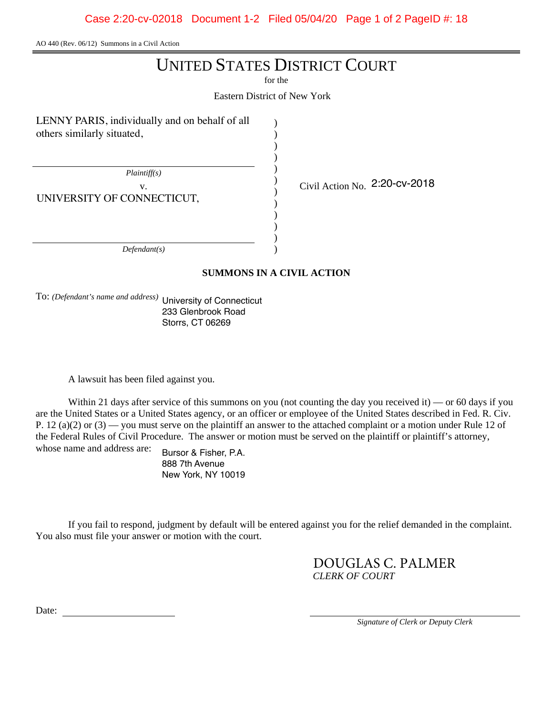AO 440 (Rev. 06/12) Summons in a Civil Action

# UNITED STATES DISTRICT COURT

for the

Eastern District of New York

) ) ) ) ) ) ) ) ) ) ) )

LENNY PARIS, individually and on behalf of all others similarly situated,

*Plaintiff(s)*

UNIVERSITY OF CONNECTICUT,

v.  $\qquad \qquad \begin{array}{c} \downarrow \text{Civil Action No.} \end{array}$  2:20-cv-2018

*Defendant(s)*

# **SUMMONS IN A CIVIL ACTION**

To: *(Defendant's name and address)* University of Connecticut 233 Glenbrook Road Storrs, CT 06269

A lawsuit has been filed against you.

Within 21 days after service of this summons on you (not counting the day you received it) — or 60 days if you are the United States or a United States agency, or an officer or employee of the United States described in Fed. R. Civ. P. 12 (a)(2) or  $(3)$  — you must serve on the plaintiff an answer to the attached complaint or a motion under Rule 12 of the Federal Rules of Civil Procedure. The answer or motion must be served on the plaintiff or plaintiff's attorney, whose name and address are:

Bursor & Fisher, P.A. 888 7th Avenue New York, NY 10019

If you fail to respond, judgment by default will be entered against you for the relief demanded in the complaint. You also must file your answer or motion with the court.

> *CLERK OF COURT* DOUGLAS C. PALMER

Date:

*Signature of Clerk or Deputy Clerk*